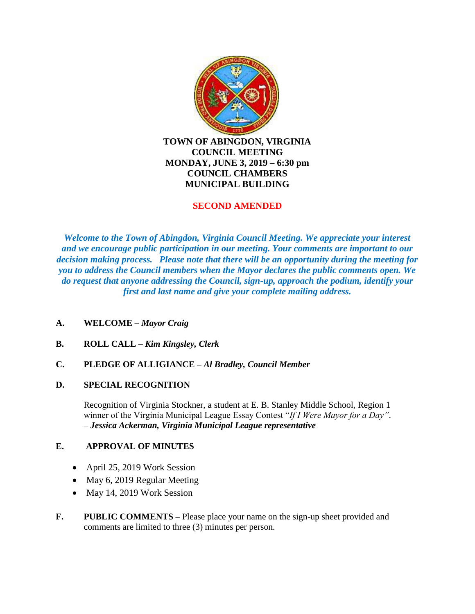

**TOWN OF ABINGDON, VIRGINIA COUNCIL MEETING MONDAY, JUNE 3, 2019 – 6:30 pm COUNCIL CHAMBERS MUNICIPAL BUILDING**

#### **SECOND AMENDED**

*Welcome to the Town of Abingdon, Virginia Council Meeting. We appreciate your interest and we encourage public participation in our meeting. Your comments are important to our decision making process. Please note that there will be an opportunity during the meeting for you to address the Council members when the Mayor declares the public comments open. We do request that anyone addressing the Council, sign-up, approach the podium, identify your first and last name and give your complete mailing address.*

- **A. WELCOME –** *Mayor Craig*
- **B. ROLL CALL –** *Kim Kingsley, Clerk*
- **C. PLEDGE OF ALLIGIANCE –** *Al Bradley, Council Member*

### **D. SPECIAL RECOGNITION**

Recognition of Virginia Stockner, a student at E. B. Stanley Middle School, Region 1 winner of the Virginia Municipal League Essay Contest "*If I Were Mayor for a Day"*. – *Jessica Ackerman, Virginia Municipal League representative*

#### **E. APPROVAL OF MINUTES**

- April 25, 2019 Work Session
- May 6, 2019 Regular Meeting
- May 14, 2019 Work Session
- **F. PUBLIC COMMENTS –** Please place your name on the sign-up sheet provided and comments are limited to three (3) minutes per person.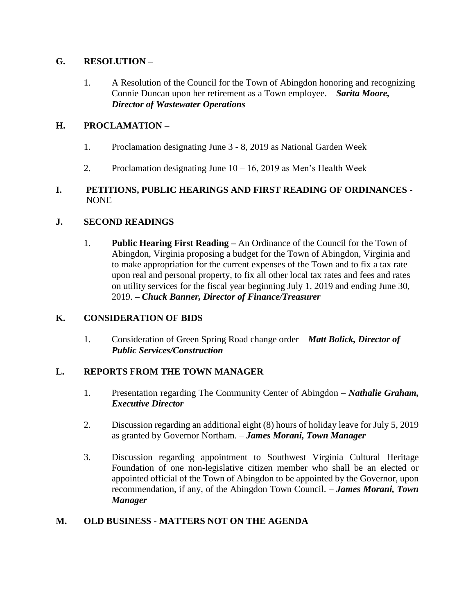# **G. RESOLUTION –**

1. A Resolution of the Council for the Town of Abingdon honoring and recognizing Connie Duncan upon her retirement as a Town employee. – *Sarita Moore, Director of Wastewater Operations*

# **H. PROCLAMATION –**

- 1. Proclamation designating June 3 8, 2019 as National Garden Week
- 2. Proclamation designating June  $10 16$ , 2019 as Men's Health Week

### **I. PETITIONS, PUBLIC HEARINGS AND FIRST READING OF ORDINANCES -** NONE

# **J. SECOND READINGS**

1. **Public Hearing First Reading –** An Ordinance of the Council for the Town of Abingdon, Virginia proposing a budget for the Town of Abingdon, Virginia and to make appropriation for the current expenses of the Town and to fix a tax rate upon real and personal property, to fix all other local tax rates and fees and rates on utility services for the fiscal year beginning July 1, 2019 and ending June 30, 2019. **–** *Chuck Banner, Director of Finance/Treasurer* 

### **K. CONSIDERATION OF BIDS**

1. Consideration of Green Spring Road change order – *Matt Bolick, Director of Public Services/Construction*

### **L. REPORTS FROM THE TOWN MANAGER**

- 1. Presentation regarding The Community Center of Abingdon *Nathalie Graham, Executive Director*
- 2. Discussion regarding an additional eight (8) hours of holiday leave for July 5, 2019 as granted by Governor Northam. – *James Morani, Town Manager*
- 3. Discussion regarding appointment to Southwest Virginia Cultural Heritage Foundation of one non-legislative citizen member who shall be an elected or appointed official of the Town of Abingdon to be appointed by the Governor, upon recommendation, if any, of the Abingdon Town Council. – *James Morani, Town Manager*

# **M. OLD BUSINESS - MATTERS NOT ON THE AGENDA**